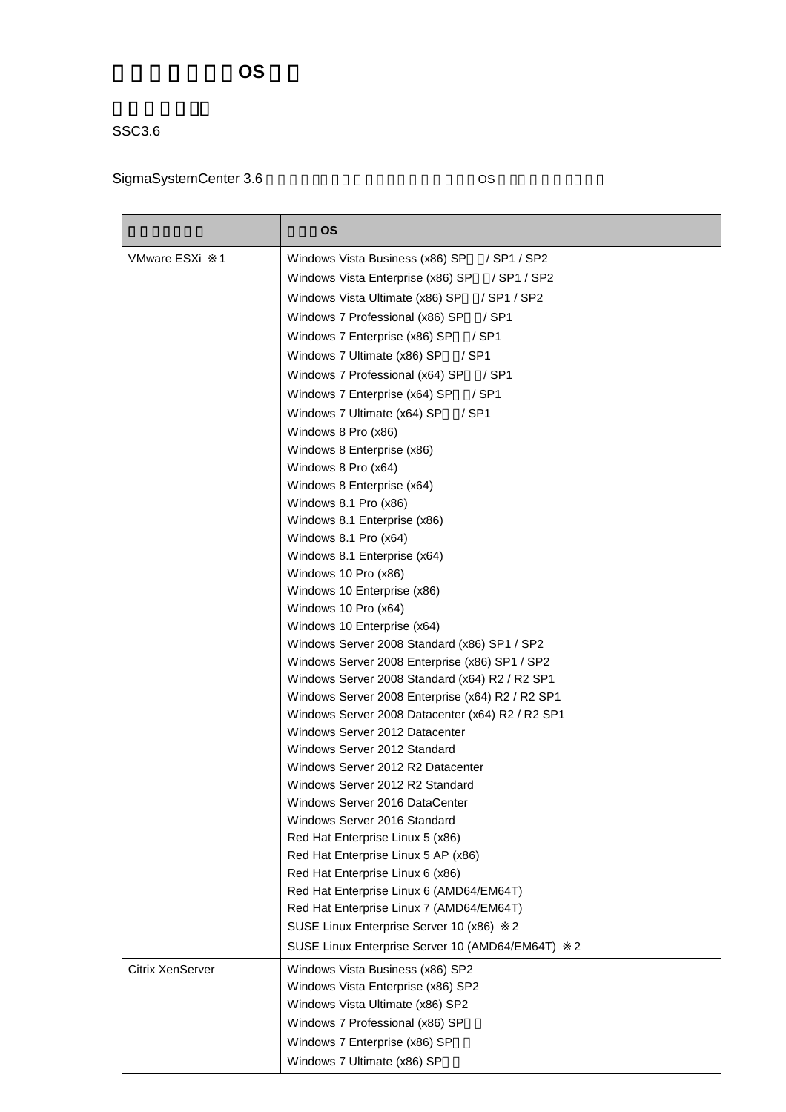## 管理対象ゲスト **OS** 一覧

## SSC3.6

## SigmaSystemCenter 3.6 by Band Band Cos

|                         | <b>OS</b>                                                         |
|-------------------------|-------------------------------------------------------------------|
| <b>VMware ESXi</b><br>1 | Windows Vista Business (x86) SP<br>/ SP1 / SP2                    |
|                         | Windows Vista Enterprise (x86) SP<br>/ SP1 / SP2                  |
|                         | Windows Vista Ultimate (x86) SP<br>/ SP1 / SP2                    |
|                         | $/$ SP1<br>Windows 7 Professional (x86) SP                        |
|                         | Windows 7 Enterprise (x86) SP<br>$/$ SP1                          |
|                         | Windows 7 Ultimate (x86) SP<br>$/$ SP1                            |
|                         | Windows 7 Professional (x64) SP<br>/ SP1                          |
|                         | Windows 7 Enterprise (x64) SP<br>$/$ SP1                          |
|                         | Windows 7 Ultimate (x64) SP<br>$/$ SP1                            |
|                         | Windows 8 Pro (x86)                                               |
|                         | Windows 8 Enterprise (x86)                                        |
|                         | Windows 8 Pro (x64)                                               |
|                         | Windows 8 Enterprise (x64)                                        |
|                         | Windows 8.1 Pro (x86)                                             |
|                         | Windows 8.1 Enterprise (x86)<br>Windows 8.1 Pro (x64)             |
|                         | Windows 8.1 Enterprise (x64)                                      |
|                         | Windows 10 Pro (x86)                                              |
|                         | Windows 10 Enterprise (x86)                                       |
|                         | Windows 10 Pro (x64)                                              |
|                         | Windows 10 Enterprise (x64)                                       |
|                         | Windows Server 2008 Standard (x86) SP1 / SP2                      |
|                         | Windows Server 2008 Enterprise (x86) SP1 / SP2                    |
|                         | Windows Server 2008 Standard (x64) R2 / R2 SP1                    |
|                         | Windows Server 2008 Enterprise (x64) R2 / R2 SP1                  |
|                         | Windows Server 2008 Datacenter (x64) R2 / R2 SP1                  |
|                         | Windows Server 2012 Datacenter                                    |
|                         | Windows Server 2012 Standard                                      |
|                         | Windows Server 2012 R2 Datacenter                                 |
|                         | Windows Server 2012 R2 Standard<br>Windows Server 2016 DataCenter |
|                         | Windows Server 2016 Standard                                      |
|                         | Red Hat Enterprise Linux 5 (x86)                                  |
|                         | Red Hat Enterprise Linux 5 AP (x86)                               |
|                         | Red Hat Enterprise Linux 6 (x86)                                  |
|                         | Red Hat Enterprise Linux 6 (AMD64/EM64T)                          |
|                         | Red Hat Enterprise Linux 7 (AMD64/EM64T)                          |
|                         | SUSE Linux Enterprise Server 10 (x86)<br>2                        |
|                         | SUSE Linux Enterprise Server 10 (AMD64/EM64T)<br>2                |
| <b>Citrix XenServer</b> | Windows Vista Business (x86) SP2                                  |
|                         | Windows Vista Enterprise (x86) SP2                                |
|                         | Windows Vista Ultimate (x86) SP2                                  |
|                         | Windows 7 Professional (x86) SP                                   |
|                         | Windows 7 Enterprise (x86) SP                                     |
|                         | Windows 7 Ultimate (x86) SP                                       |